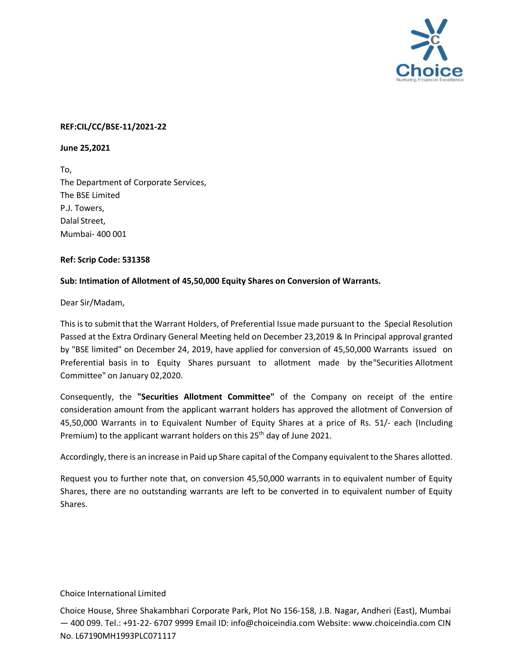

## **REF:CIL/CC/BSE-11/2021-22**

**June 25,2021**

To, The Department of Corporate Services, The BSE Limited P.J. Towers, Dalal Street, Mumbai- 400 001

## **Ref: Scrip Code: 531358**

## **Sub: Intimation of Allotment of 45,50,000 Equity Shares on Conversion of Warrants.**

Dear Sir/Madam,

This is to submit that the Warrant Holders, of Preferential Issue made pursuant to the Special Resolution Passed at the Extra Ordinary General Meeting held on December 23,2019 & In Principal approval granted by "BSE limited" on December 24, 2019, have applied for conversion of 45,50,000 Warrants issued on Preferential basis in to Equity Shares pursuant to allotment made by the "Securities Allotment Committee" on January 02,2020.

Consequently, the **"Securities Allotment Committee"** of the Company on receipt of the entire consideration amount from the applicant warrant holders has approved the allotment of Conversion of 45,50,000 Warrants in to Equivalent Number of Equity Shares at a price of Rs. 51/- each (Including Premium) to the applicant warrant holders on this 25<sup>th</sup> day of June 2021.

Accordingly, there is an increase in Paid up Share capital of the Company equivalent to the Shares allotted.

Request you to further note that, on conversion 45,50,000 warrants in to equivalent number of Equity Shares, there are no outstanding warrants are left to be converted in to equivalent number of Equity Shares.

## Choice International Limited

Choice House, Shree Shakambhari Corporate Park, Plot No 156-158, J.B. Nagar, Andheri (East), Mumbai — 400 099. Tel.: +91-22- 6707 9999 Email ID: [info@choiceindia.com](mailto:info@choiceindia.com) Website: [www.choiceindia.com](http://www.choiceindia.com/) CIN No. L67190MH1993PLC071117